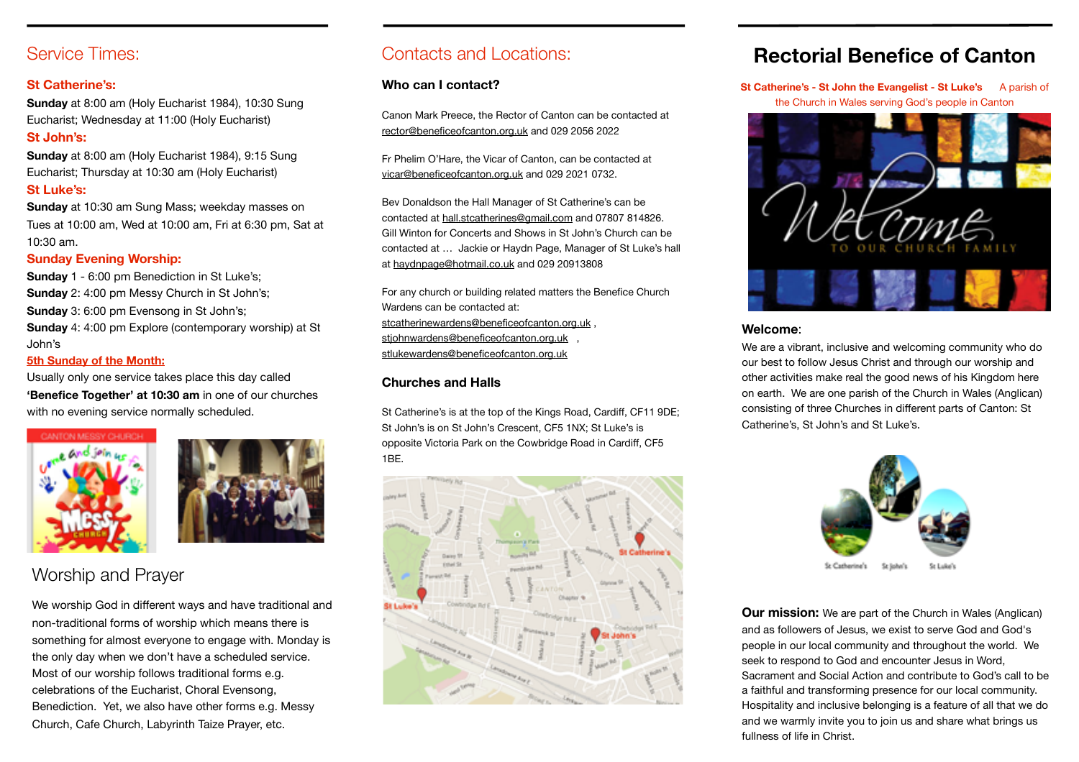#### Service Times:

#### **St Catherine's:**

**Sunday** at 8:00 am (Holy Eucharist 1984), 10:30 Sung Eucharist; Wednesday at 11:00 (Holy Eucharist) **St John's:**  

**Sunday** at 8:00 am (Holy Eucharist 1984), 9:15 Sung Eucharist; Thursday at 10:30 am (Holy Eucharist) **St Luke's:**  

**Sunday** at 10:30 am Sung Mass; weekday masses on Tues at 10:00 am, Wed at 10:00 am, Fri at 6:30 pm, Sat at 10:30 am. 

#### **Sunday Evening Worship:**

**Sunday** 1 - 6:00 pm Benediction in St Luke's; **Sunday** 2: 4:00 pm Messy Church in St John's; **Sunday** 3: 6:00 pm Evensong in St John's; **Sunday** 4: 4:00 pm Explore (contemporary worship) at St John's 

#### **5th Sunday of the Month:**

Usually only one service takes place this day called **'Benefice Together' at 10:30 am** in one of our churches with no evening service normally scheduled.





#### Worship and Prayer

We worship God in different ways and have traditional and non-traditional forms of worship which means there is something for almost everyone to engage with. Monday is the only day when we don't have a scheduled service. Most of our worship follows traditional forms e.g. celebrations of the Eucharist, Choral Evensong, Benediction. Yet, we also have other forms e.g. Messy Church, Cafe Church, Labyrinth Taize Prayer, etc.

#### Contacts and Locations:

#### **Who can I contact?**

Canon Mark Preece, the Rector of Canton can be contacted at [rector@beneficeofcanton.org.uk](mailto:rector@beneficeofcanton.org.uk) and 029 2056 2022

Fr Phelim O'Hare, the Vicar of Canton, can be contacted at [vicar@beneficeofcanton.org.uk](mailto:vicar@beneficeofcanton.org.uk) and 029 2021 0732.

Bev Donaldson the Hall Manager of St Catherine's can be contacted at [hall.stcatherines@gmail.com](mailto:hall.stcatherines@gmail.com) and 07807 814826. Gill Winton for Concerts and Shows in St John's Church can be contacted at … Jackie or Haydn Page, Manager of St Luke's hall at [haydnpage@hotmail.co.uk](mailto:haydnpage@hotmail.co.uk) and 029 20913808

For any church or building related matters the Benefice Church Wardens can be contacted at: [stcatherinewardens@beneficeofcanton.org.uk](mailto:stcatherinewardens@beneficeofcanton.org.uk) , [stjohnwardens@beneficeofcanton.org.uk](mailto:stjohnwardens@beneficeofcanton.org.uk) , [stlukewardens@beneficeofcanton.org.uk](mailto:stlukewardens@beneficeofcanton.org.uk) 

#### **Churches and Halls**

St Catherine's is at the top of the Kings Road, Cardiff, CF11 9DE; St John's is on St John's Crescent, CF5 1NX; St Luke's is opposite Victoria Park on the Cowbridge Road in Cardiff, CF5 1BE.



#### **Rectorial Benefice of Canton**

**St Catherine's - St John the Evangelist - St Luke's** A parish of the Church in Wales serving God's people in Canton



#### **Welcome**:

We are a vibrant, inclusive and welcoming community who do our best to follow Jesus Christ and through our worship and other activities make real the good news of his Kingdom here on earth. We are one parish of the Church in Wales (Anglican) consisting of three Churches in different parts of Canton: St Catherine's, St John's and St Luke's.



**Our mission:** We are part of the Church in Wales (Anglican) and as followers of Jesus, we exist to serve God and God's people in our local community and throughout the world. We seek to respond to God and encounter Jesus in Word, Sacrament and Social Action and contribute to God's call to be a faithful and transforming presence for our local community. Hospitality and inclusive belonging is a feature of all that we do and we warmly invite you to join us and share what brings us fullness of life in Christ.